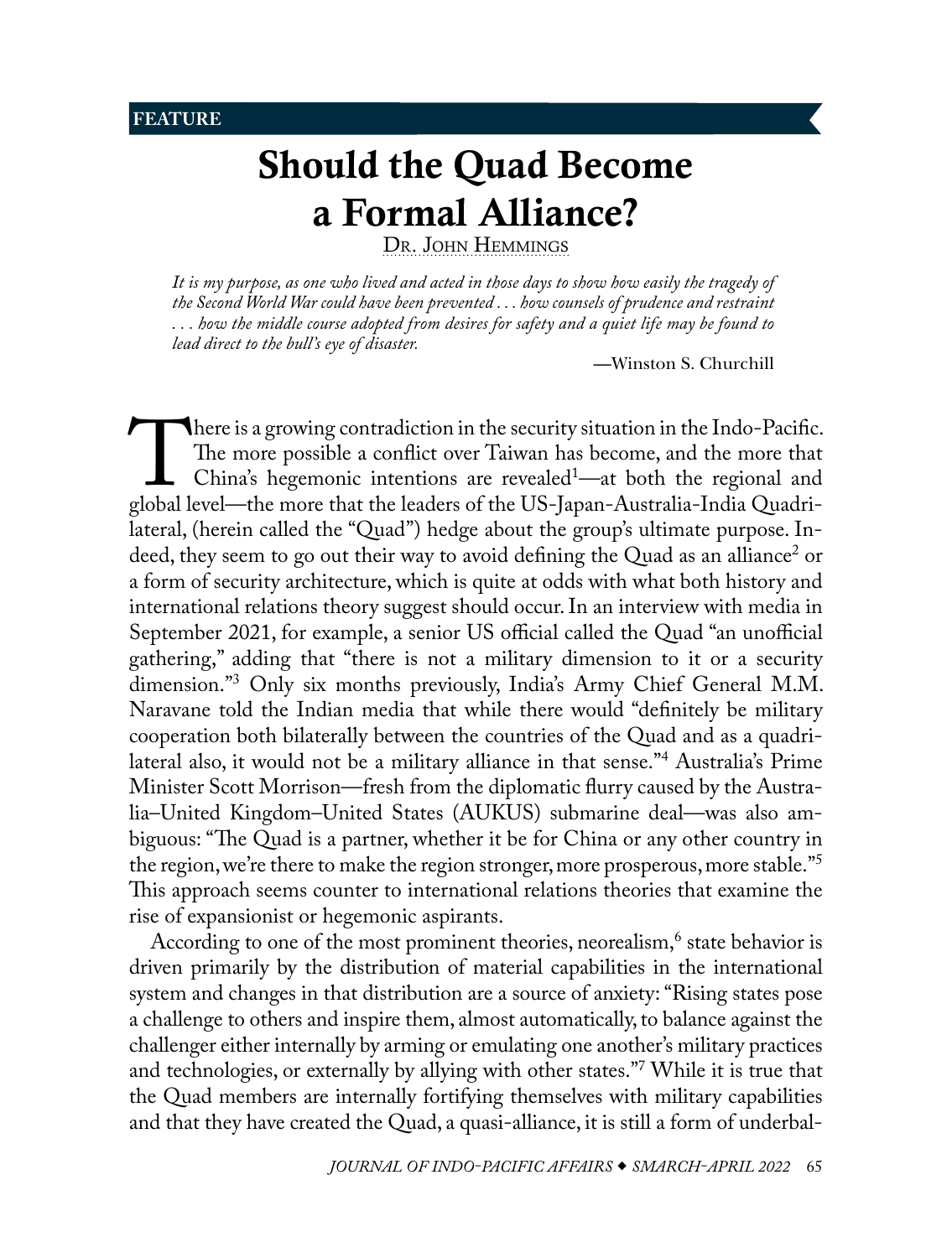## <span id="page-0-1"></span>**FEATURE**

# Should the Quad Become a Formal Alliance?

DR. JOHN HEMMINGS

*It is my purpose, as one who lived and acted in those days to show how easily the tragedy of the Second World War could have been prevented . . . how counsels of prudence and restraint . . . how the middle course adopted from desires for safety and a quiet life may be found to lead direct to the bull's eye of disaster.*

<span id="page-0-0"></span>—Winston S. Churchill

There is a growing contradiction in the security situation in the Indo-Pacific.<br>The more possible a conflict over Taiwan has become, and the more that<br>China's hegemonic intentions are revealed<sup>1</sup>—at both the regional and<br>g The more possible a conflict over Taiwan has become, and the more that China's hegemonic intentions are revealed<sup>1</sup>—at both the regional and lateral, (herein called the "Quad") hedge about the group's ultimate purpose. In-deed, they seem to go out their way to avoid defining the Quad as an alliance<sup>[2](#page-9-0)</sup> or a form of security architecture, which is quite at odds with what both history and international relations theory suggest should occur. In an interview with media in September 2021, for example, a senior US official called the Quad "an unofficial gathering," adding that "there is not a military dimension to it or a security dimension."[3](#page-9-0) Only six months previously, India's Army Chief General M.M. Naravane told the Indian media that while there would "definitely be military cooperation both bilaterally between the countries of the Quad and as a quadrilateral also, it would not be a military alliance in that sense."[4](#page-9-0) Australia's Prime Minister Scott Morrison—fresh from the diplomatic flurry caused by the Australia–United Kingdom–United States (AUKUS) submarine deal—was also ambiguous: "The Quad is a partner, whether it be for China or any other country in the region, we're there to make the region stronger, more prosperous, more stable."<sup>5</sup> This approach seems counter to international relations theories that examine the rise of expansionist or hegemonic aspirants.

According to one of the most prominent theories, neorealism,<sup>6</sup> state behavior is driven primarily by the distribution of material capabilities in the international system and changes in that distribution are a source of anxiety: "Rising states pose a challenge to others and inspire them, almost automatically, to balance against the challenger either internally by arming or emulating one another's military practices and technologies, or externally by allying with other states.["7](#page-9-0) While it is true that the Quad members are internally fortifying themselves with military capabilities and that they have created the Quad, a quasi-alliance, it is still a form of underbal-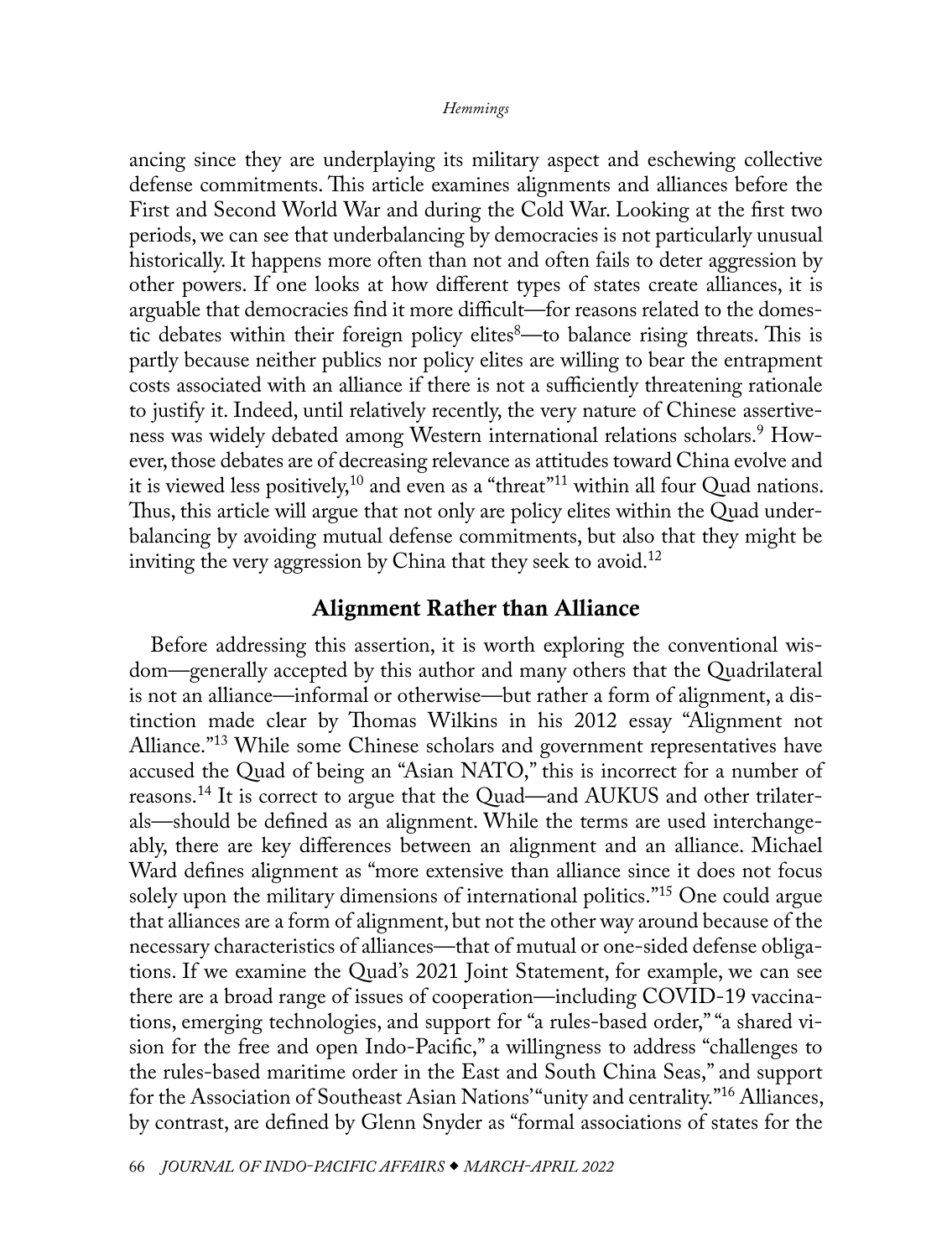<span id="page-1-0"></span>ancing since they are underplaying its military aspect and eschewing collective defense commitments. This article examines alignments and alliances before the First and Second World War and during the Cold War. Looking at the first two periods, we can see that underbalancing by democracies is not particularly unusual historically. It happens more often than not and often fails to deter aggression by other powers. If one looks at how different types of states create alliances, it is arguable that democracies find it more difficult—for reasons related to the domes-tic debates within their foreign policy elites<sup>[8](#page-9-0)</sup>—to balance rising threats. This is partly because neither publics nor policy elites are willing to bear the entrapment costs associated with an alliance if there is not a sufficiently threatening rationale to justify it. Indeed, until relatively recently, the very nature of Chinese assertiveness was widely debated among Western international relations scholars.<sup>9</sup> However, those debates are of decreasing relevance as attitudes toward China evolve and it is viewed less positively,<sup>10</sup> and even as a "threat"<sup>11</sup> within all four Quad nations. Thus, this article will argue that not only are policy elites within the Quad underbalancing by avoiding mutual defense commitments, but also that they might be inviting the very aggression by China that they seek to avoid.<sup>12</sup>

## Alignment Rather than Alliance

Before addressing this assertion, it is worth exploring the conventional wisdom—generally accepted by this author and many others that the Quadrilateral is not an alliance—informal or otherwise—but rather a form of alignment, a distinction made clear by Thomas Wilkins in his 2012 essay "Alignment not Alliance.["13](#page-10-0) While some Chinese scholars and government representatives have accused the Quad of being an "Asian NATO," this is incorrect for a number of reasons[.14](#page-10-0) It is correct to argue that the Quad—and AUKUS and other trilaterals—should be defined as an alignment. While the terms are used interchangeably, there are key differences between an alignment and an alliance. Michael Ward defines alignment as "more extensive than alliance since it does not focus solely upon the military dimensions of international politics."[15](#page-10-0) One could argue that alliances are a form of alignment, but not the other way around because of the necessary characteristics of alliances—that of mutual or one-sided defense obligations. If we examine the Quad's 2021 Joint Statement, for example, we can see there are a broad range of issues of cooperation—including COVID-19 vaccinations, emerging technologies, and support for "a rules-based order," "a shared vision for the free and open Indo-Pacific," a willingness to address "challenges to the rules-based maritime order in the East and South China Seas," and support for the Association of Southeast Asian Nations' "unity and centrality."<sup>16</sup> Alliances, by contrast, are defined by Glenn Snyder as "formal associations of states for the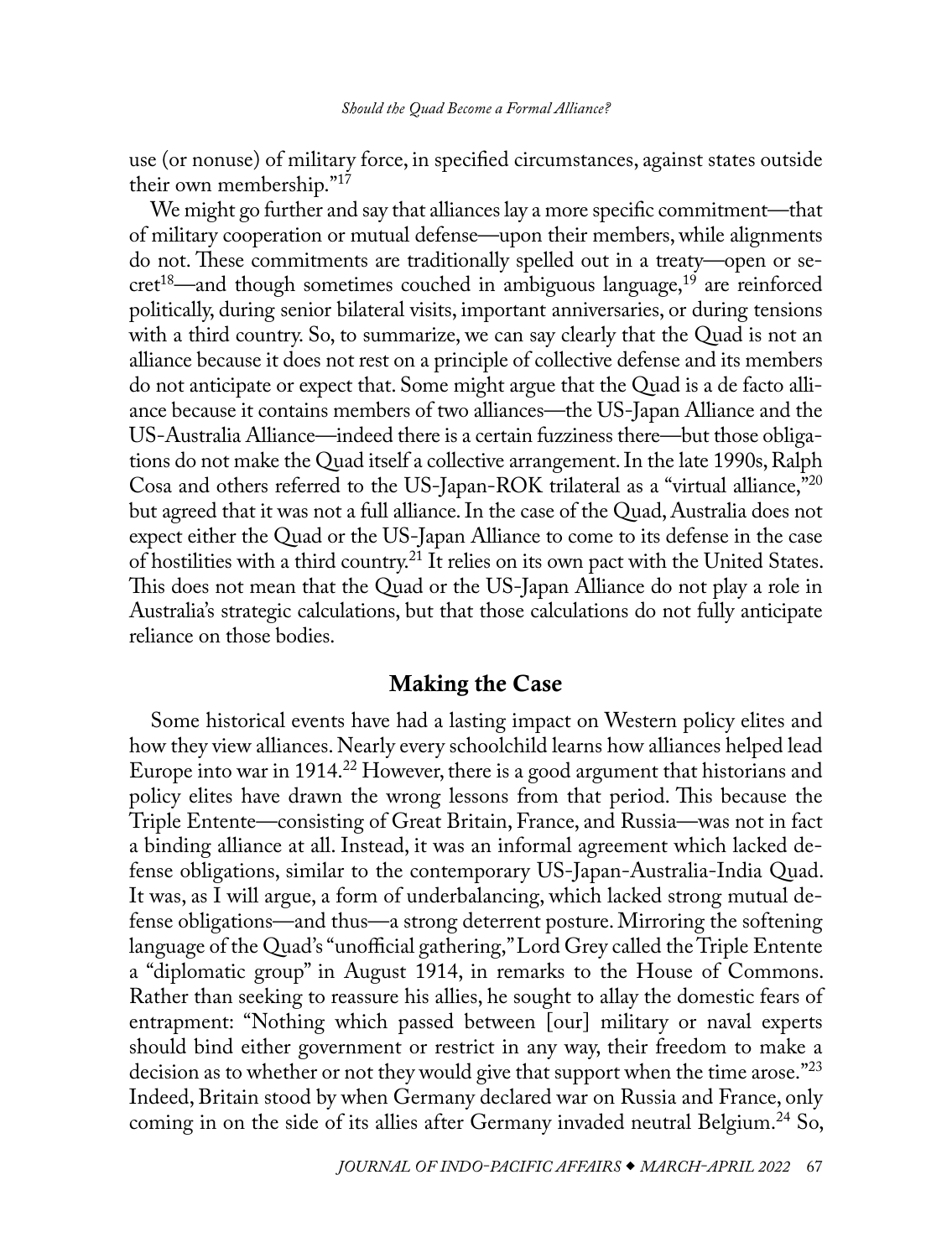<span id="page-2-0"></span>use (or nonuse) of military force, in specified circumstances, against states outside their own membership.["17](#page-10-0)

We might go further and say that alliances lay a more specific commitment—that of military cooperation or mutual defense—upon their members, while alignments do not. These commitments are traditionally spelled out in a treaty—open or se $cret<sup>18</sup>$ —and though sometimes couched in ambiguous language,<sup>19</sup> are reinforced politically, during senior bilateral visits, important anniversaries, or during tensions with a third country. So, to summarize, we can say clearly that the Quad is not an alliance because it does not rest on a principle of collective defense and its members do not anticipate or expect that. Some might argue that the Quad is a de facto alliance because it contains members of two alliances—the US-Japan Alliance and the US-Australia Alliance—indeed there is a certain fuzziness there—but those obligations do not make the Quad itself a collective arrangement. In the late 1990s, Ralph Cosa and others referred to the US-Japan-ROK trilateral as a "virtual alliance,["20](#page-10-0) but agreed that it was not a full alliance. In the case of the Quad, Australia does not expect either the Quad or the US-Japan Alliance to come to its defense in the case of hostilities with a third country[.21](#page-10-0) It relies on its own pact with the United States. This does not mean that the Quad or the US-Japan Alliance do not play a role in Australia's strategic calculations, but that those calculations do not fully anticipate reliance on those bodies.

## Making the Case

Some historical events have had a lasting impact on Western policy elites and how they view alliances. Nearly every schoolchild learns how alliances helped lead Europe into war in 1914.<sup>[22](#page-10-0)</sup> However, there is a good argument that historians and policy elites have drawn the wrong lessons from that period. This because the Triple Entente—consisting of Great Britain, France, and Russia—was not in fact a binding alliance at all. Instead, it was an informal agreement which lacked defense obligations, similar to the contemporary US-Japan-Australia-India Quad. It was, as I will argue, a form of underbalancing, which lacked strong mutual defense obligations—and thus—a strong deterrent posture. Mirroring the softening language of the Quad's "unofficial gathering," Lord Grey called the Triple Entente a "diplomatic group" in August 1914, in remarks to the House of Commons. Rather than seeking to reassure his allies, he sought to allay the domestic fears of entrapment: "Nothing which passed between [our] military or naval experts should bind either government or restrict in any way, their freedom to make a decision as to whether or not they would give that support when the time arose."[23](#page-10-0) Indeed, Britain stood by when Germany declared war on Russia and France, only coming in on the side of its allies after Germany invaded neutral Belgium.<sup>24</sup> So,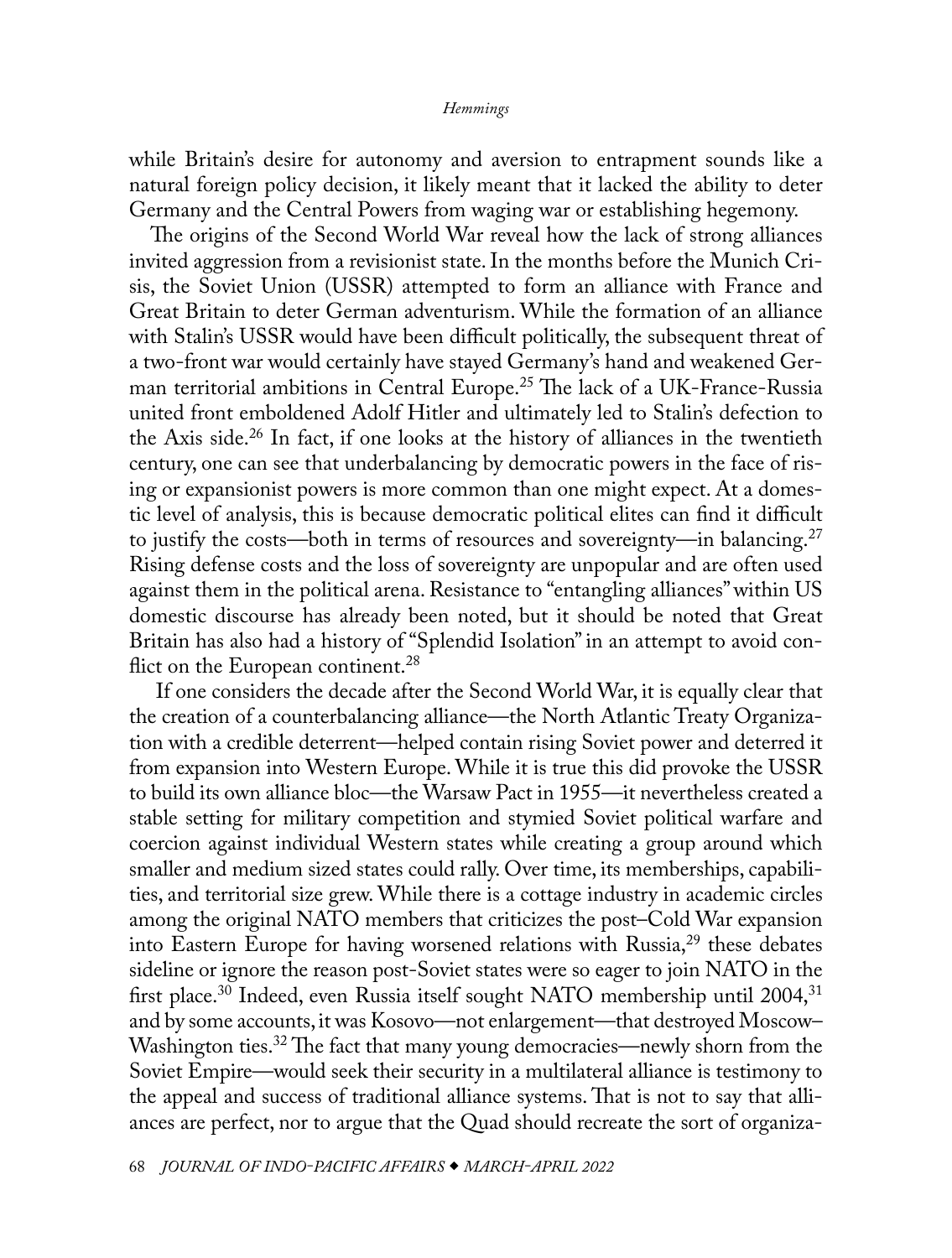<span id="page-3-0"></span>while Britain's desire for autonomy and aversion to entrapment sounds like a natural foreign policy decision, it likely meant that it lacked the ability to deter Germany and the Central Powers from waging war or establishing hegemony.

The origins of the Second World War reveal how the lack of strong alliances invited aggression from a revisionist state. In the months before the Munich Crisis, the Soviet Union (USSR) attempted to form an alliance with France and Great Britain to deter German adventurism. While the formation of an alliance with Stalin's USSR would have been difficult politically, the subsequent threat of a two-front war would certainly have stayed Germany's hand and weakened German territorial ambitions in Central Europe.<sup>25</sup> The lack of a UK-France-Russia united front emboldened Adolf Hitler and ultimately led to Stalin's defection to the Axis side.<sup>26</sup> In fact, if one looks at the history of alliances in the twentieth century, one can see that underbalancing by democratic powers in the face of rising or expansionist powers is more common than one might expect. At a domestic level of analysis, this is because democratic political elites can find it difficult to justify the costs—both in terms of resources and sovereignty—in balancing.<sup>[27](#page-10-0)</sup> Rising defense costs and the loss of sovereignty are unpopular and are often used against them in the political arena. Resistance to "entangling alliances" within US domestic discourse has already been noted, but it should be noted that Great Britain has also had a history of "Splendid Isolation" in an attempt to avoid con-flict on the European continent.<sup>[28](#page-10-0)</sup>

 If one considers the decade after the Second World War, it is equally clear that the creation of a counterbalancing alliance—the North Atlantic Treaty Organization with a credible deterrent—helped contain rising Soviet power and deterred it from expansion into Western Europe. While it is true this did provoke the USSR to build its own alliance bloc—the Warsaw Pact in 1955—it nevertheless created a stable setting for military competition and stymied Soviet political warfare and coercion against individual Western states while creating a group around which smaller and medium sized states could rally. Over time, its memberships, capabilities, and territorial size grew. While there is a cottage industry in academic circles among the original NATO members that criticizes the post–Cold War expansion into Eastern Europe for having worsened relations with Russia, $^{29}$  these debates sideline or ignore the reason post-Soviet states were so eager to join NATO in the first place.<sup>30</sup> Indeed, even Russia itself sought NATO membership until 2004,<sup>31</sup> and by some accounts, it was Kosovo—not enlargement—that destroyed Moscow– Washington ties.<sup>32</sup> The fact that many young democracies—newly shorn from the Soviet Empire—would seek their security in a multilateral alliance is testimony to the appeal and success of traditional alliance systems. That is not to say that alliances are perfect, nor to argue that the Quad should recreate the sort of organiza-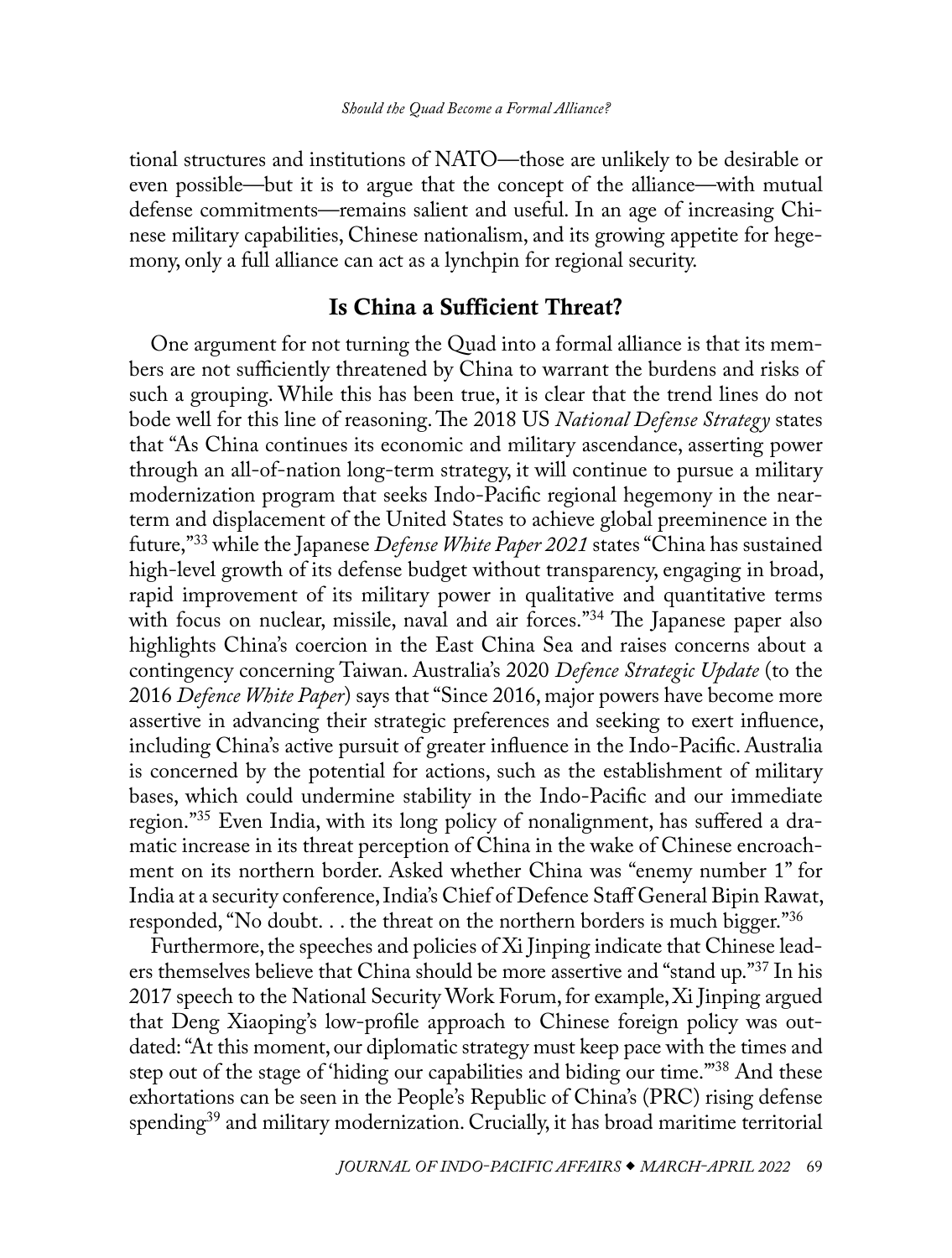<span id="page-4-0"></span>tional structures and institutions of NATO—those are unlikely to be desirable or even possible—but it is to argue that the concept of the alliance—with mutual defense commitments—remains salient and useful. In an age of increasing Chinese military capabilities, Chinese nationalism, and its growing appetite for hegemony, only a full alliance can act as a lynchpin for regional security.

## Is China a Sufficient Threat?

One argument for not turning the Quad into a formal alliance is that its members are not sufficiently threatened by China to warrant the burdens and risks of such a grouping. While this has been true, it is clear that the trend lines do not bode well for this line of reasoning. The 2018 US *National Defense Strategy* states that "As China continues its economic and military ascendance, asserting power through an all-of-nation long-term strategy, it will continue to pursue a military modernization program that seeks Indo-Pacific regional hegemony in the nearterm and displacement of the United States to achieve global preeminence in the future,["33](#page-11-0) while the Japanese *Defense White Paper 2021* states "China has sustained high-level growth of its defense budget without transparency, engaging in broad, rapid improvement of its military power in qualitative and quantitative terms with focus on nuclear, missile, naval and air forces."<sup>[34](#page-11-0)</sup> The Japanese paper also highlights China's coercion in the East China Sea and raises concerns about a contingency concerning Taiwan. Australia's 2020 *Defence Strategic Update* (to the 2016 *Defence White Paper*) says that "Since 2016, major powers have become more assertive in advancing their strategic preferences and seeking to exert influence, including China's active pursuit of greater influence in the Indo-Pacific. Australia is concerned by the potential for actions, such as the establishment of military bases, which could undermine stability in the Indo-Pacific and our immediate region."[35](#page-11-0) Even India, with its long policy of nonalignment, has suffered a dramatic increase in its threat perception of China in the wake of Chinese encroachment on its northern border. Asked whether China was "enemy number 1" for India at a security conference, India's Chief of Defence Staff General Bipin Rawat, responded, "No doubt. . . the threat on the northern borders is much bigger.["36](#page-11-0)

Furthermore, the speeches and policies of Xi Jinping indicate that Chinese leaders themselves believe that China should be more assertive and "stand up.["37](#page-11-0) In his 2017 speech to the National Security Work Forum, for example, Xi Jinping argued that Deng Xiaoping's low-profile approach to Chinese foreign policy was outdated: "At this moment, our diplomatic strategy must keep pace with the times and step out of the stage of 'hiding our capabilities and biding our time.'["38](#page-11-0) And these exhortations can be seen in the People's Republic of China's (PRC) rising defense spending<sup>39</sup> and military modernization. Crucially, it has broad maritime territorial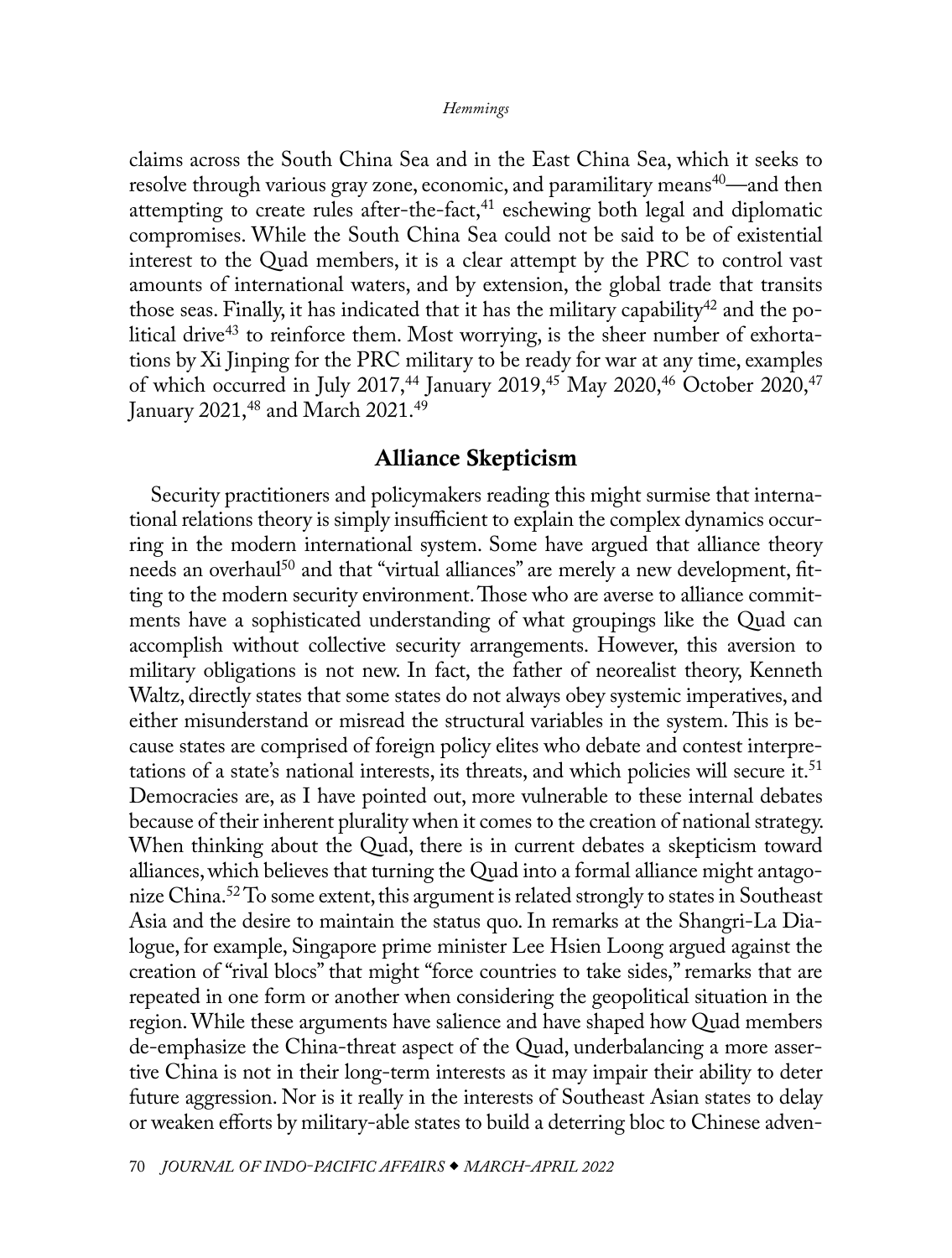<span id="page-5-0"></span>claims across the South China Sea and in the East China Sea, which it seeks to resolve through various gray zone, economic, and paramilitary means<sup>40</sup>—and then attempting to create rules after-the-fact, $41$  eschewing both legal and diplomatic compromises. While the South China Sea could not be said to be of existential interest to the Quad members, it is a clear attempt by the PRC to control vast amounts of international waters, and by extension, the global trade that transits those seas. Finally, it has indicated that it has the military capability<sup>42</sup> and the po-litical drive<sup>[43](#page-11-0)</sup> to reinforce them. Most worrying, is the sheer number of exhortations by Xi Jinping for the PRC military to be ready for war at any time, examples of which occurred in July 2017,<sup>44</sup> January 2019,<sup>[45](#page-11-0)</sup> May 2020,<sup>46</sup> October 2020,<sup>47</sup> January 2021,<sup>48</sup> and March 2021.<sup>[49](#page-11-0)</sup>

# Alliance Skepticism

Security practitioners and policymakers reading this might surmise that international relations theory is simply insufficient to explain the complex dynamics occurring in the modern international system. Some have argued that alliance theory needs an overhaul<sup>50</sup> and that "virtual alliances" are merely a new development, fitting to the modern security environment. Those who are averse to alliance commitments have a sophisticated understanding of what groupings like the Quad can accomplish without collective security arrangements. However, this aversion to military obligations is not new. In fact, the father of neorealist theory, Kenneth Waltz, directly states that some states do not always obey systemic imperatives, and either misunderstand or misread the structural variables in the system. This is because states are comprised of foreign policy elites who debate and contest interpretations of a state's national interests, its threats, and which policies will secure it.<sup>51</sup> Democracies are, as I have pointed out, more vulnerable to these internal debates because of their inherent plurality when it comes to the creation of national strategy. When thinking about the Quad, there is in current debates a skepticism toward alliances, which believes that turning the Quad into a formal alliance might antagonize China.<sup>52</sup> To some extent, this argument is related strongly to states in Southeast Asia and the desire to maintain the status quo. In remarks at the Shangri-La Dialogue, for example, Singapore prime minister Lee Hsien Loong argued against the creation of "rival blocs" that might "force countries to take sides," remarks that are repeated in one form or another when considering the geopolitical situation in the region. While these arguments have salience and have shaped how Quad members de-emphasize the China-threat aspect of the Quad, underbalancing a more assertive China is not in their long-term interests as it may impair their ability to deter future aggression. Nor is it really in the interests of Southeast Asian states to delay or weaken efforts by military-able states to build a deterring bloc to Chinese adven-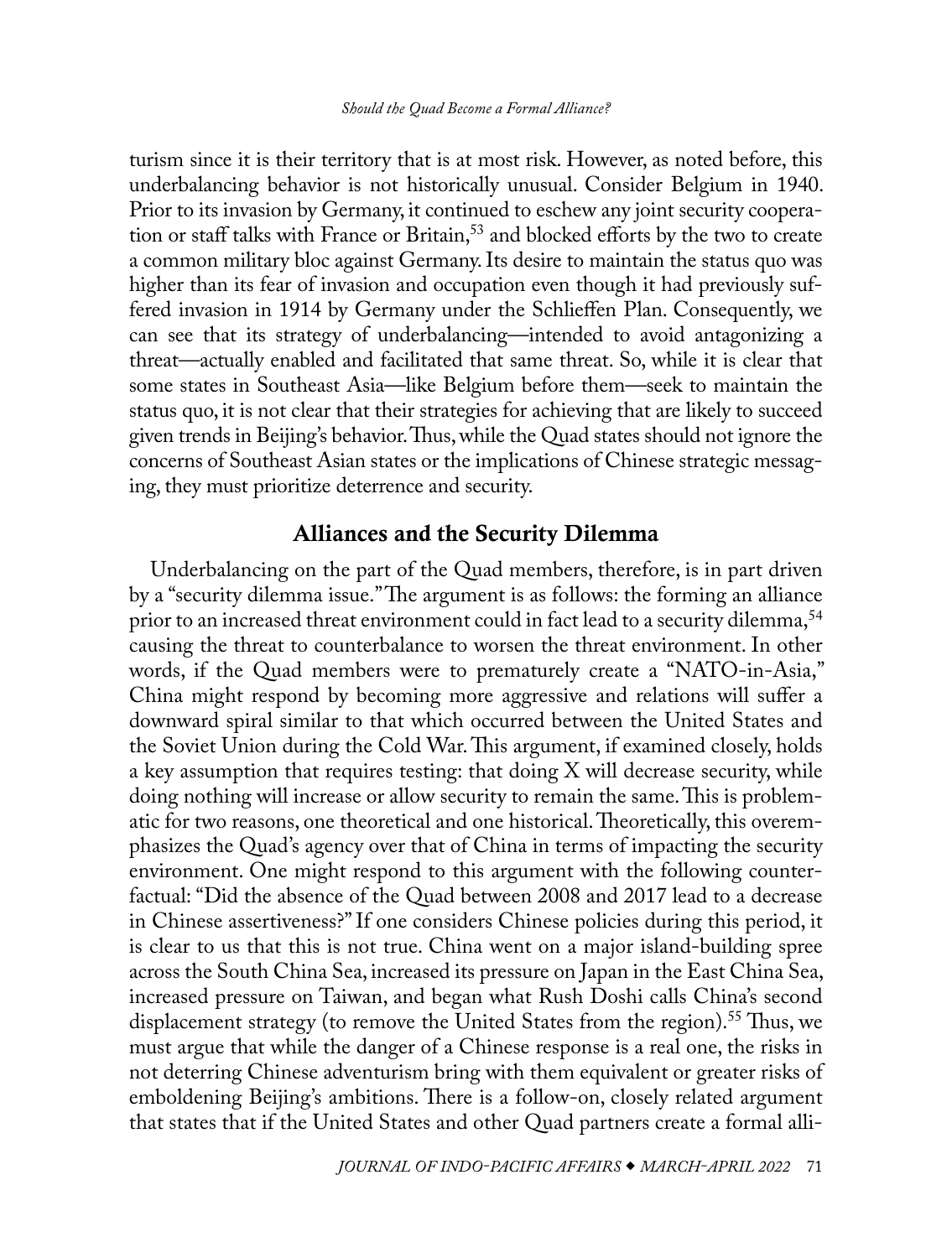<span id="page-6-0"></span>turism since it is their territory that is at most risk. However, as noted before, this underbalancing behavior is not historically unusual. Consider Belgium in 1940. Prior to its invasion by Germany, it continued to eschew any joint security cooperation or staff talks with France or Britain,<sup>53</sup> and blocked efforts by the two to create a common military bloc against Germany. Its desire to maintain the status quo was higher than its fear of invasion and occupation even though it had previously suffered invasion in 1914 by Germany under the Schlieffen Plan. Consequently, we can see that its strategy of underbalancing—intended to avoid antagonizing a threat—actually enabled and facilitated that same threat. So, while it is clear that some states in Southeast Asia—like Belgium before them—seek to maintain the status quo, it is not clear that their strategies for achieving that are likely to succeed given trends in Beijing's behavior. Thus, while the Quad states should not ignore the concerns of Southeast Asian states or the implications of Chinese strategic messaging, they must prioritize deterrence and security.

# Alliances and the Security Dilemma

Underbalancing on the part of the Quad members, therefore, is in part driven by a "security dilemma issue." The argument is as follows: the forming an alliance prior to an increased threat environment could in fact lead to a security dilemma,<sup>54</sup> causing the threat to counterbalance to worsen the threat environment. In other words, if the Quad members were to prematurely create a "NATO-in-Asia," China might respond by becoming more aggressive and relations will suffer a downward spiral similar to that which occurred between the United States and the Soviet Union during the Cold War. This argument, if examined closely, holds a key assumption that requires testing: that doing X will decrease security, while doing nothing will increase or allow security to remain the same. This is problematic for two reasons, one theoretical and one historical. Theoretically, this overemphasizes the Quad's agency over that of China in terms of impacting the security environment. One might respond to this argument with the following counterfactual: "Did the absence of the Quad between 2008 and 2017 lead to a decrease in Chinese assertiveness?" If one considers Chinese policies during this period, it is clear to us that this is not true. China went on a major island-building spree across the South China Sea, increased its pressure on Japan in the East China Sea, increased pressure on Taiwan, and began what Rush Doshi calls China's second displacement strategy (to remove the United States from the region).<sup>55</sup> Thus, we must argue that while the danger of a Chinese response is a real one, the risks in not deterring Chinese adventurism bring with them equivalent or greater risks of emboldening Beijing's ambitions. There is a follow-on, closely related argument that states that if the United States and other Quad partners create a formal alli-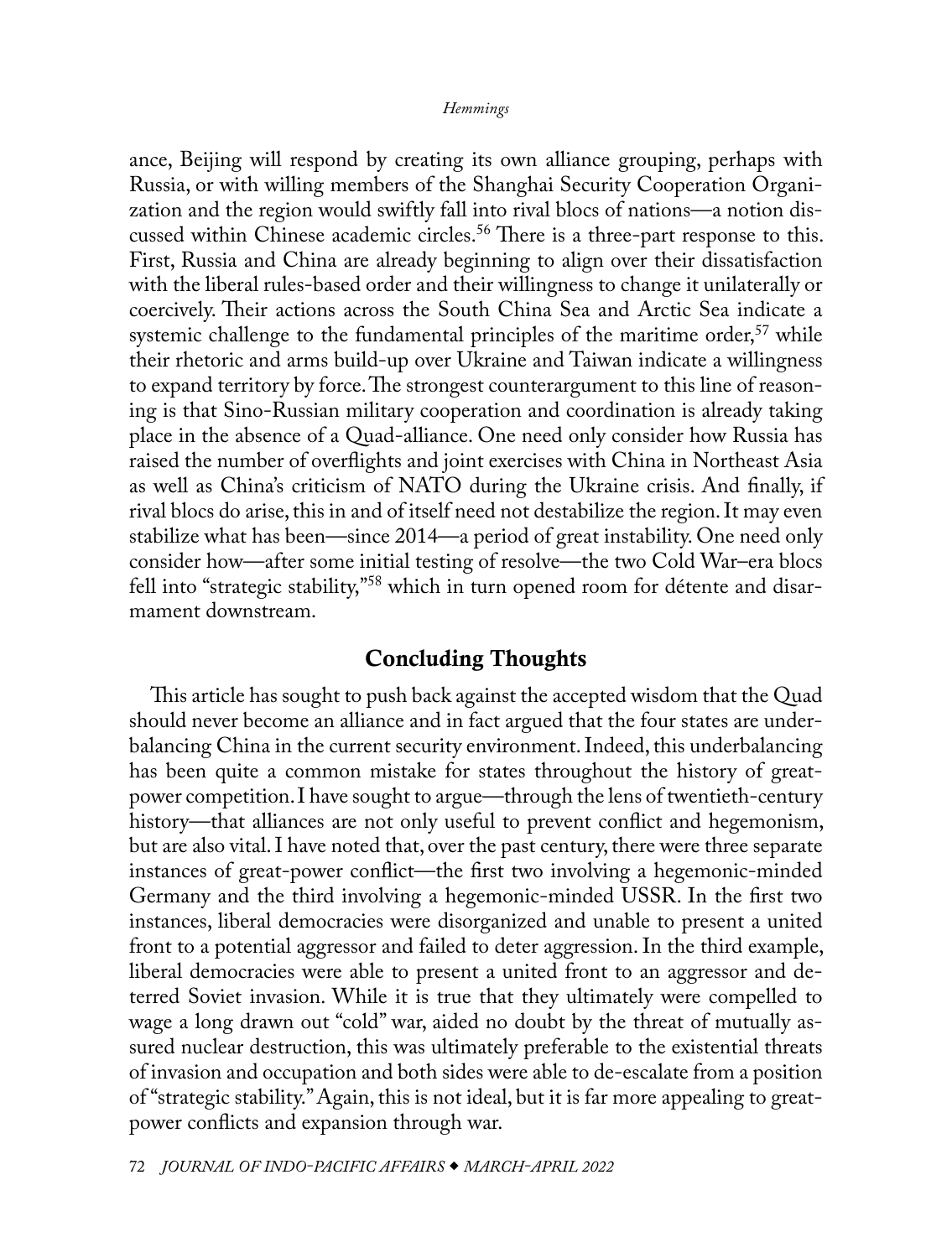<span id="page-7-0"></span>ance, Beijing will respond by creating its own alliance grouping, perhaps with Russia, or with willing members of the Shanghai Security Cooperation Organization and the region would swiftly fall into rival blocs of nations—a notion discussed within Chinese academic circles.<sup>56</sup> There is a three-part response to this. First, Russia and China are already beginning to align over their dissatisfaction with the liberal rules-based order and their willingness to change it unilaterally or coercively. Their actions across the South China Sea and Arctic Sea indicate a systemic challenge to the fundamental principles of the maritime order,<sup>57</sup> while their rhetoric and arms build-up over Ukraine and Taiwan indicate a willingness to expand territory by force. The strongest counterargument to this line of reasoning is that Sino-Russian military cooperation and coordination is already taking place in the absence of a Quad-alliance. One need only consider how Russia has raised the number of overflights and joint exercises with China in Northeast Asia as well as China's criticism of NATO during the Ukraine crisis. And finally, if rival blocs do arise, this in and of itself need not destabilize the region. It may even stabilize what has been—since 2014—a period of great instability. One need only consider how—after some initial testing of resolve—the two Cold War–era blocs fell into "strategic stability,["58](#page-12-0) which in turn opened room for détente and disarmament downstream.

## Concluding Thoughts

This article has sought to push back against the accepted wisdom that the Quad should never become an alliance and in fact argued that the four states are underbalancing China in the current security environment. Indeed, this underbalancing has been quite a common mistake for states throughout the history of greatpower competition. I have sought to argue—through the lens of twentieth-century history—that alliances are not only useful to prevent conflict and hegemonism, but are also vital. I have noted that, over the past century, there were three separate instances of great-power conflict—the first two involving a hegemonic-minded Germany and the third involving a hegemonic-minded USSR. In the first two instances, liberal democracies were disorganized and unable to present a united front to a potential aggressor and failed to deter aggression. In the third example, liberal democracies were able to present a united front to an aggressor and deterred Soviet invasion. While it is true that they ultimately were compelled to wage a long drawn out "cold" war, aided no doubt by the threat of mutually assured nuclear destruction, this was ultimately preferable to the existential threats of invasion and occupation and both sides were able to de-escalate from a position of "strategic stability." Again, this is not ideal, but it is far more appealing to greatpower conflicts and expansion through war.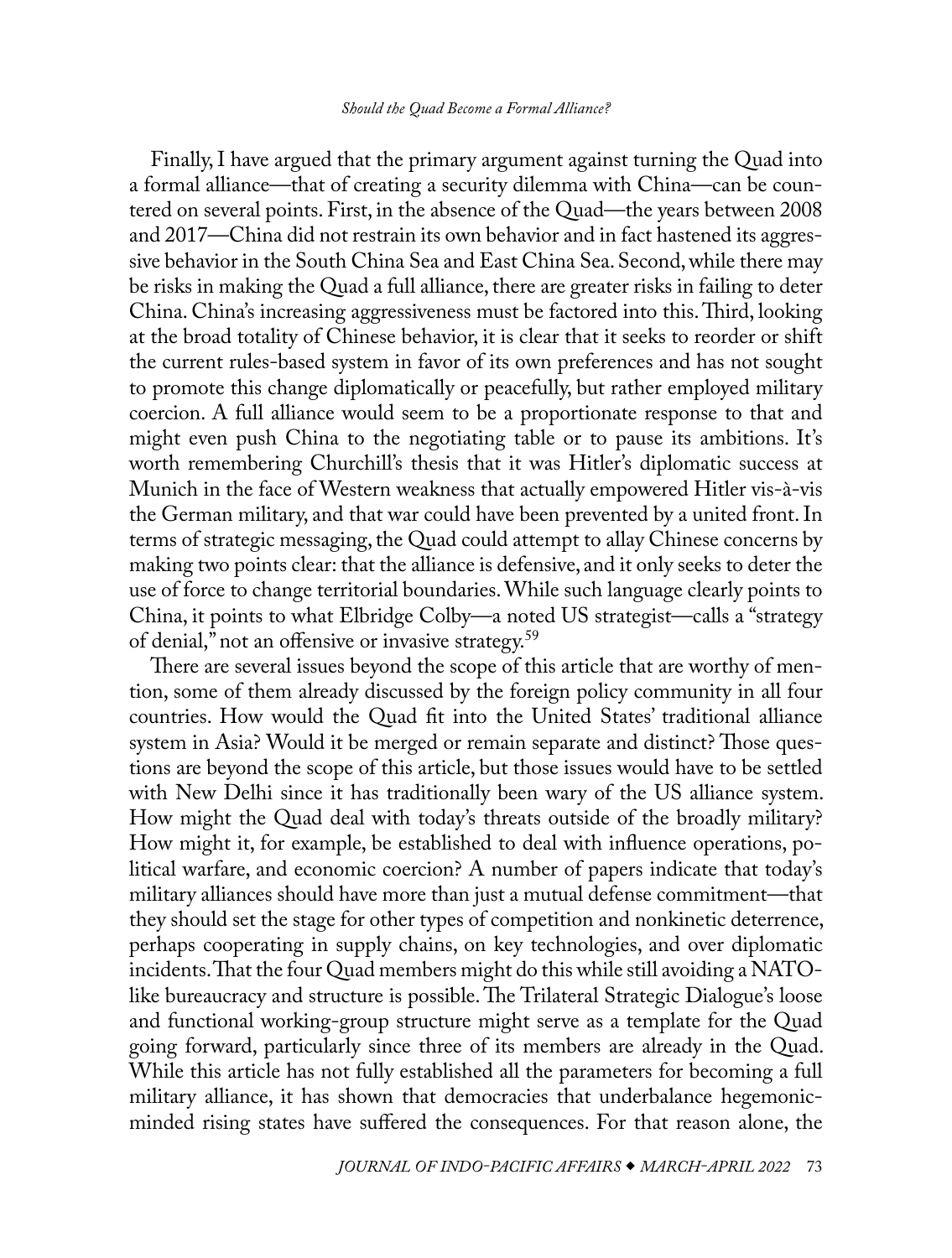<span id="page-8-0"></span>Finally, I have argued that the primary argument against turning the Quad into a formal alliance—that of creating a security dilemma with China—can be countered on several points. First, in the absence of the Quad—the years between 2008 and 2017—China did not restrain its own behavior and in fact hastened its aggressive behavior in the South China Sea and East China Sea. Second, while there may be risks in making the Quad a full alliance, there are greater risks in failing to deter China. China's increasing aggressiveness must be factored into this. Third, looking at the broad totality of Chinese behavior, it is clear that it seeks to reorder or shift the current rules-based system in favor of its own preferences and has not sought to promote this change diplomatically or peacefully, but rather employed military coercion. A full alliance would seem to be a proportionate response to that and might even push China to the negotiating table or to pause its ambitions. It's worth remembering Churchill's thesis that it was Hitler's diplomatic success at Munich in the face of Western weakness that actually empowered Hitler vis-à-vis the German military, and that war could have been prevented by a united front. In terms of strategic messaging, the Quad could attempt to allay Chinese concerns by making two points clear: that the alliance is defensive, and it only seeks to deter the use of force to change territorial boundaries. While such language clearly points to China, it points to what Elbridge Colby—a noted US strategist—calls a "strategy of denial," not an offensive or invasive strategy.[59](#page-12-0)

There are several issues beyond the scope of this article that are worthy of mention, some of them already discussed by the foreign policy community in all four countries. How would the Quad fit into the United States' traditional alliance system in Asia? Would it be merged or remain separate and distinct? Those questions are beyond the scope of this article, but those issues would have to be settled with New Delhi since it has traditionally been wary of the US alliance system. How might the Quad deal with today's threats outside of the broadly military? How might it, for example, be established to deal with influence operations, political warfare, and economic coercion? A number of papers indicate that today's military alliances should have more than just a mutual defense commitment—that they should set the stage for other types of competition and nonkinetic deterrence, perhaps cooperating in supply chains, on key technologies, and over diplomatic incidents. That the four Quad members might do this while still avoiding a NATOlike bureaucracy and structure is possible. The Trilateral Strategic Dialogue's loose and functional working-group structure might serve as a template for the Quad going forward, particularly since three of its members are already in the Quad. While this article has not fully established all the parameters for becoming a full military alliance, it has shown that democracies that underbalance hegemonicminded rising states have suffered the consequences. For that reason alone, the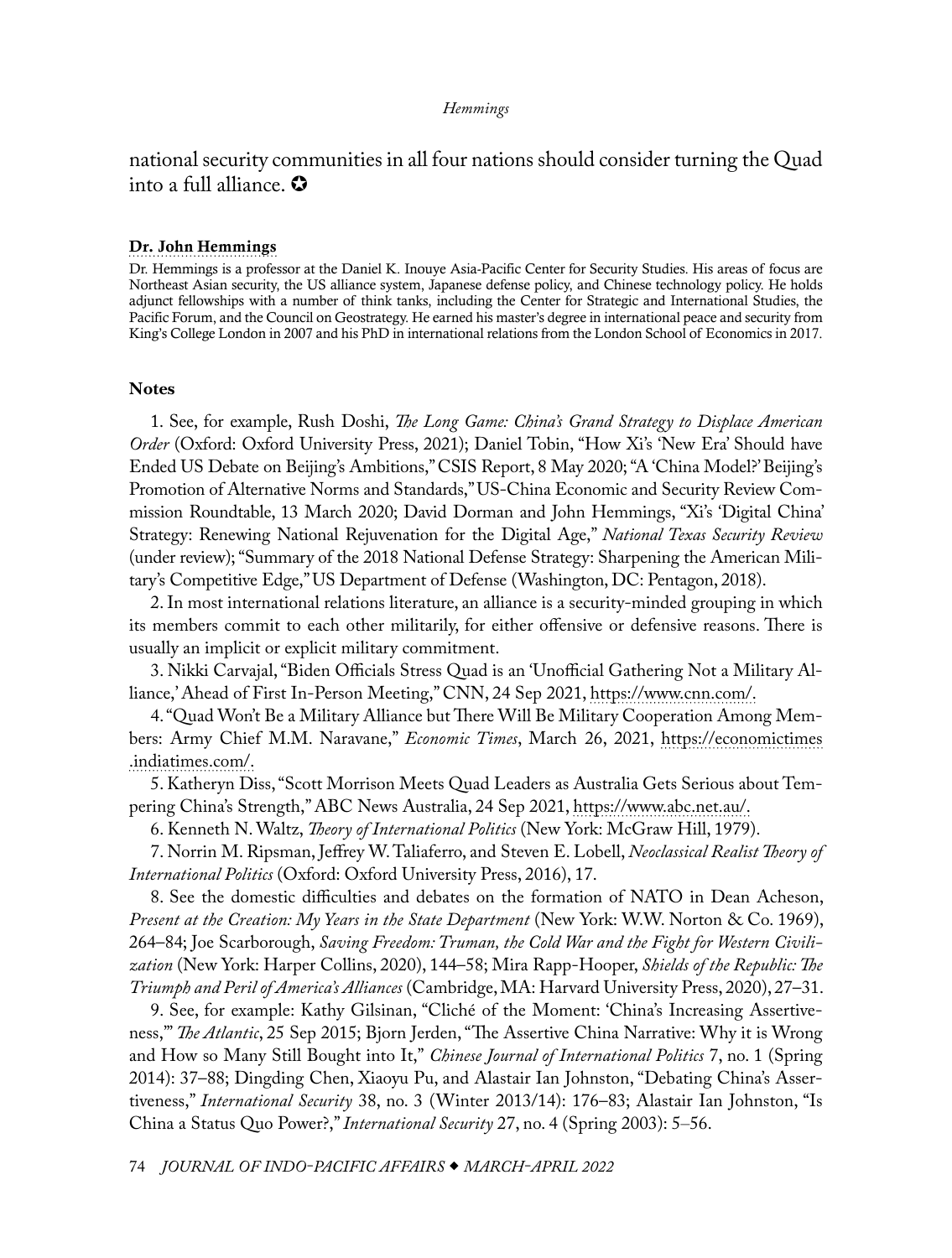<span id="page-9-0"></span>national security communities in all four nations should consider turning the Quad into a full alliance.  $\Omega$ 

### [Dr. John Hemmings](#page-0-0)

Dr. Hemmings is a professor at the Daniel K. Inouye Asia-Pacific Center for Security Studies. His areas of focus are Northeast Asian security, the US alliance system, Japanese defense policy, and Chinese technology policy. He holds adjunct fellowships with a number of think tanks, including the Center for Strategic and International Studies, the Pacific Forum, and the Council on Geostrategy. He earned his master's degree in international peace and security from King's College London in 2007 and his PhD in international relations from the London School of Economics in 2017.

### **Notes**

[1.](#page-0-1) See, for example, Rush Doshi, *The Long Game: China's Grand Strategy to Displace American Order* (Oxford: Oxford University Press, 2021); Daniel Tobin, "How Xi's 'New Era' Should have Ended US Debate on Beijing's Ambitions," CSIS Report, 8 May 2020; "A 'China Model?' Beijing's Promotion of Alternative Norms and Standards," US-China Economic and Security Review Commission Roundtable, 13 March 2020; David Dorman and John Hemmings, "Xi's 'Digital China' Strategy: Renewing National Rejuvenation for the Digital Age," *National Texas Security Review* (under review); "Summary of the 2018 National Defense Strategy: Sharpening the American Military's Competitive Edge," US Department of Defense (Washington, DC: Pentagon, 2018).

[2](#page-0-1). In most international relations literature, an alliance is a security-minded grouping in which its members commit to each other militarily, for either offensive or defensive reasons. There is usually an implicit or explicit military commitment.

[3](#page-0-1). Nikki Carvajal, "Biden Officials Stress Quad is an 'Unofficial Gathering Not a Military Alliance,' Ahead of First In-Person Meeting," CNN, 24 Sep 2021, [https://www.cnn.com/.](https://www.cnn.com/2021/09/24/politics/the-quad-white-house-meeting/index.html)

[4](#page-0-1). "Quad Won't Be a Military Alliance but There Will Be Military Cooperation Among Members: Army Chief M.M. Naravane," *Economic Times*, March 26, 2021, [https://economictimes](https://economictimes.indiatimes.com/news/defence/quad-wont-be-military-alliance-but-there-will-be-military-cooperation-among-members-army-chief-mm-naravane/articleshow/81693237.cms) [.indiatimes.com/.](https://economictimes.indiatimes.com/news/defence/quad-wont-be-military-alliance-but-there-will-be-military-cooperation-among-members-army-chief-mm-naravane/articleshow/81693237.cms)

[5](#page-0-1). Katheryn Diss, "Scott Morrison Meets Quad Leaders as Australia Gets Serious about Tempering China's Strength," ABC News Australia, 24 Sep 2021, [https://www.abc.net.au/](https://www.abc.net.au/news/2021-09-25/scott-morrison-quad-meeting-china-us-india-japan/100491080).

[6](#page-0-1). Kenneth N. Waltz, *Theory of International Politics* (New York: McGraw Hill, 1979).

[7](#page-0-1). Norrin M. Ripsman, Jeffrey W. Taliaferro, and Steven E. Lobell, *Neoclassical Realist Theory of International Politics* (Oxford: Oxford University Press, 2016), 17.

[8](#page-1-0). See the domestic difficulties and debates on the formation of NATO in Dean Acheson, *Present at the Creation: My Years in the State Department* (New York: W.W. Norton & Co. 1969), 264–84; Joe Scarborough, *Saving Freedom: Truman, the Cold War and the Fight for Western Civilization* (New York: Harper Collins, 2020), 144–58; Mira Rapp-Hooper, *Shields of the Republic: The Triumph and Peril of America's Alliances* (Cambridge, MA: Harvard University Press, 2020), 27–31.

[9](#page-1-0). See, for example: Kathy Gilsinan, "Cliché of the Moment: 'China's Increasing Assertiveness,'" *The Atlantic*, 25 Sep 2015; Bjorn Jerden, "The Assertive China Narrative: Why it is Wrong and How so Many Still Bought into It," *Chinese Journal of International Politics* 7, no. 1 (Spring 2014): 37–88; Dingding Chen, Xiaoyu Pu, and Alastair Ian Johnston, "Debating China's Assertiveness," *International Security* 38, no. 3 (Winter 2013/14): 176–83; Alastair Ian Johnston, "Is China a Status Quo Power?," *International Security* 27, no. 4 (Spring 2003): 5–56.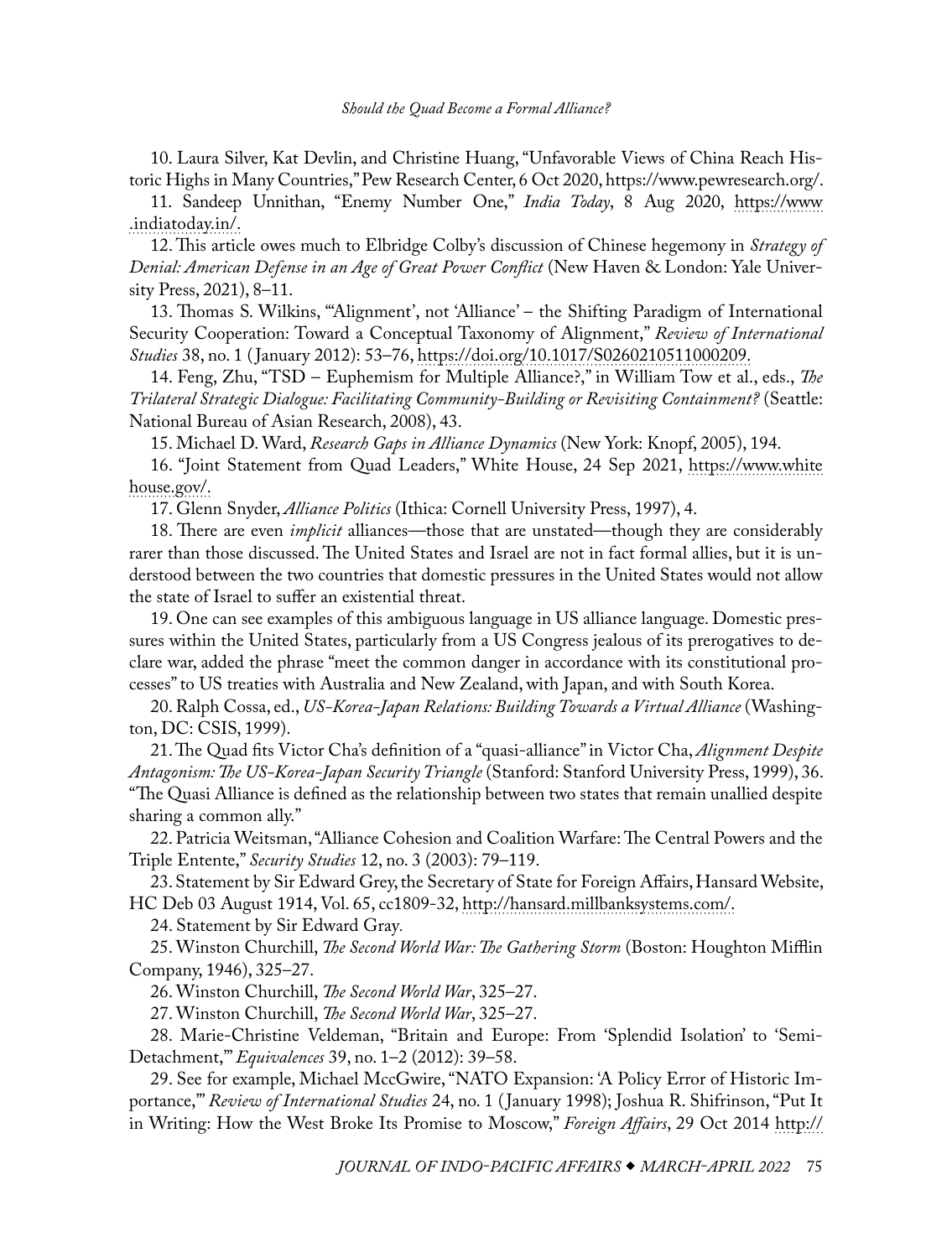<span id="page-10-0"></span>[10.](#page-1-0) Laura Silver, Kat Devlin, and Christine Huang, "Unfavorable Views of China Reach Historic Highs in Many Countries," Pew Research Center, 6 Oct 2020, [https://www.pewresearch.org/](https://www.pewresearch.org/global/2020/10/06/unfavorable-views-of-china-reach-historic-highs-in-many-countries/).

[11.](#page-1-0) Sandeep Unnithan, "Enemy Number One," *India Today*, 8 Aug 2020, [https://www](https://www.indiatoday.in/magazine/nation/story/20200817-enemy-number-one-1708698-2020-08-08) [.indiatoday.in/](https://www.indiatoday.in/magazine/nation/story/20200817-enemy-number-one-1708698-2020-08-08).

[12](#page-1-0). This article owes much to Elbridge Colby's discussion of Chinese hegemony in *Strategy of Denial: American Defense in an Age of Great Power Conflict* (New Haven & London: Yale University Press, 2021), 8–11.

[13](#page-1-0). Thomas S. Wilkins, "'Alignment', not 'Alliance' – the Shifting Paradigm of International Security Cooperation: Toward a Conceptual Taxonomy of Alignment," *Review of International Studies* 38, no. 1 ( January 2012): 53–76, [https://doi.org/10.1017/S0260210511000209.](https://doi.org/10.1017/S0260210511000209)

[14](#page-1-0). Feng, Zhu, "TSD – Euphemism for Multiple Alliance?," in William Tow et al., eds., *The Trilateral Strategic Dialogue: Facilitating Community-Building or Revisiting Containment?* (Seattle: National Bureau of Asian Research, 2008), 43.

[15](#page-1-0). Michael D. Ward, *Research Gaps in Alliance Dynamics* (New York: Knopf, 2005), 194.

[16](#page-1-0). "Joint Statement from Quad Leaders," White House, 24 Sep 2021, [https://www.white](https://www.whitehouse.gov/briefing-room/statements-releases/2021/09/24/joint-statement-from-quad-leaders/) [house.gov/](https://www.whitehouse.gov/briefing-room/statements-releases/2021/09/24/joint-statement-from-quad-leaders/).

[17](#page-2-0). Glenn Snyder, *Alliance Politics* (Ithica: Cornell University Press, 1997), 4.

[18](#page-2-0). There are even *implicit* alliances—those that are unstated—though they are considerably rarer than those discussed. The United States and Israel are not in fact formal allies, but it is understood between the two countries that domestic pressures in the United States would not allow the state of Israel to suffer an existential threat.

[19](#page-2-0). One can see examples of this ambiguous language in US alliance language. Domestic pressures within the United States, particularly from a US Congress jealous of its prerogatives to declare war, added the phrase "meet the common danger in accordance with its constitutional processes" to US treaties with Australia and New Zealand, with Japan, and with South Korea.

[20](#page-2-0). Ralph Cossa, ed., *US-Korea-Japan Relations: Building Towards a Virtual Alliance* (Washington, DC: CSIS, 1999).

[21](#page-2-0). The Quad fits Victor Cha's definition of a "quasi-alliance" in Victor Cha, *Alignment Despite Antagonism: The US-Korea-Japan Security Triangle* (Stanford: Stanford University Press, 1999), 36. "The Quasi Alliance is defined as the relationship between two states that remain unallied despite sharing a common ally."

[22](#page-2-0). Patricia Weitsman, "Alliance Cohesion and Coalition Warfare: The Central Powers and the Triple Entente," *Security Studies* 12, no. 3 (2003): 79–119.

[23](#page-2-0). Statement by Sir Edward Grey, the Secretary of State for Foreign Affairs, Hansard Website, HC Deb 03 August 1914, Vol. 65, cc1809-32, [http://hansard.millbanksystems.com/.](http://hansard.millbanksystems.com/commons/1914/aug/03/statement-by-sir-edward-grey)

[24](#page-2-0). Statement by Sir Edward Gray*.*

[25](#page-3-0). Winston Churchill, *The Second World War: The Gathering Storm* (Boston: Houghton Mifflin Company, 1946), 325–27.

[26](#page-3-0). Winston Churchill, *The Second World War*, 325–27.

[27](#page-3-0). Winston Churchill, *The Second World War*, 325–27.

[28](#page-3-0). Marie-Christine Veldeman, "Britain and Europe: From 'Splendid Isolation' to 'Semi-Detachment,'" *Equivalences* 39, no. 1–2 (2012): 39–58.

[29](#page-3-0). See for example, Michael MccGwire, "NATO Expansion: 'A Policy Error of Historic Importance,'" *Review of International Studies* 24, no. 1 ( January 1998); Joshua R. Shifrinson, "Put It in Writing: How the West Broke Its Promise to Moscow," *Foreign Affairs*, 29 Oct 2014 [http://](https://www.foreignaffairs.com/articles/united-states/2014-10-29/put-it-writing)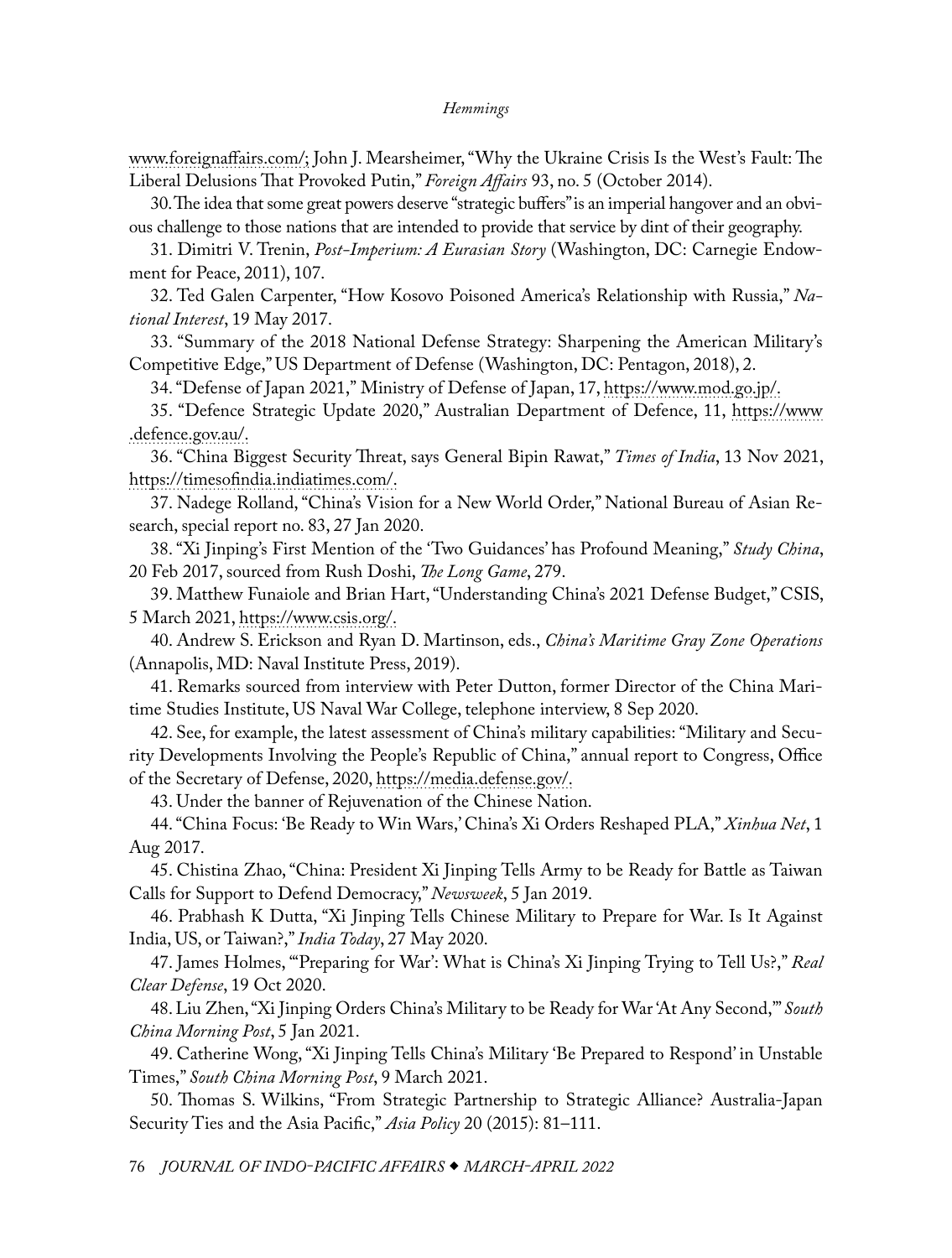<span id="page-11-0"></span>[www.foreignaffairs.com/](https://www.foreignaffairs.com/articles/united-states/2014-10-29/put-it-writing); John J. Mearsheimer, "Why the Ukraine Crisis Is the West's Fault: The Liberal Delusions That Provoked Putin," *Foreign Affairs* 93, no. 5 (October 2014).

[30.](#page-3-0) The idea that some great powers deserve "strategic buffers" is an imperial hangover and an obvious challenge to those nations that are intended to provide that service by dint of their geography.

[31](#page-3-0). Dimitri V. Trenin, *Post-Imperium: A Eurasian Story* (Washington, DC: Carnegie Endowment for Peace, 2011), 107.

[32](#page-3-0). Ted Galen Carpenter, "How Kosovo Poisoned America's Relationship with Russia," *National Interest*, 19 May 2017.

[33](#page-4-0). "Summary of the 2018 National Defense Strategy: Sharpening the American Military's Competitive Edge," US Department of Defense (Washington, DC: Pentagon, 2018), 2.

[34](#page-4-0). "Defense of Japan 2021," Ministry of Defense of Japan, 17, [https://www.mod.go.jp/](https://www.mod.go.jp/en/publ/w_paper/wp2021/DOJ2021_Digest_EN.pdf).

[35](#page-4-0). "Defence Strategic Update 2020," Australian Department of Defence, 11, [https://www](https://www.defence.gov.au/about/publications/2020-defence-strategic-update) [.defence.gov.au/](https://www.defence.gov.au/about/publications/2020-defence-strategic-update).

[36](#page-4-0). "China Biggest Security Threat, says General Bipin Rawat," *Times of India*, 13 Nov 2021, [https://timesofindia.indiatimes.com/](https://timesofindia.indiatimes.com/india/china-biggest-security-threat-says-general-bipin-rawat/articleshow/87675595.cms).

[37](#page-4-0). Nadege Rolland, "China's Vision for a New World Order," National Bureau of Asian Research, special report no. 83, 27 Jan 2020.

[38](#page-4-0). "Xi Jinping's First Mention of the 'Two Guidances' has Profound Meaning," *Study China*, 20 Feb 2017, sourced from Rush Doshi, *The Long Game*, 279.

[39](#page-4-0). Matthew Funaiole and Brian Hart, "Understanding China's 2021 Defense Budget," CSIS, 5 March 2021, [https://www.csis.org/](https://www.csis.org/analysis/understanding-chinas-2021-defense-budget).

[40](#page-5-0). Andrew S. Erickson and Ryan D. Martinson, eds., *China's Maritime Gray Zone Operations* (Annapolis, MD: Naval Institute Press, 2019).

[41](#page-5-0). Remarks sourced from interview with Peter Dutton, former Director of the China Maritime Studies Institute, US Naval War College, telephone interview, 8 Sep 2020.

[42](#page-5-0). See, for example, the latest assessment of China's military capabilities: "Military and Security Developments Involving the People's Republic of China," annual report to Congress, Office of the Secretary of Defense, 2020, [https://media.defense.gov/](https://media.defense.gov/2020/Sep/01/2002488689/-1/-1/1/2020-DOD-CHINA-MILITARY-POWER-REPORT-FINAL.PDF).

[43](#page-5-0). Under the banner of Rejuvenation of the Chinese Nation.

[44](#page-5-0). "China Focus: 'Be Ready to Win Wars,' China's Xi Orders Reshaped PLA," *Xinhua Net*, 1 Aug 2017.

[45](#page-5-0). Chistina Zhao, "China: President Xi Jinping Tells Army to be Ready for Battle as Taiwan Calls for Support to Defend Democracy," *Newsweek*, 5 Jan 2019.

[46](#page-5-0). Prabhash K Dutta, "Xi Jinping Tells Chinese Military to Prepare for War. Is It Against India, US, or Taiwan?," *India Today*, 27 May 2020.

[47](#page-5-0). James Holmes, "'Preparing for War': What is China's Xi Jinping Trying to Tell Us?," *Real Clear Defense*, 19 Oct 2020.

[48](#page-5-0). Liu Zhen, "Xi Jinping Orders China's Military to be Ready for War 'At Any Second,'" *South China Morning Post*, 5 Jan 2021.

[49](#page-5-0). Catherine Wong, "Xi Jinping Tells China's Military 'Be Prepared to Respond' in Unstable Times," *South China Morning Post*, 9 March 2021.

[50](#page-5-0). Thomas S. Wilkins, "From Strategic Partnership to Strategic Alliance? Australia-Japan Security Ties and the Asia Pacific," *Asia Policy* 20 (2015): 81–111.